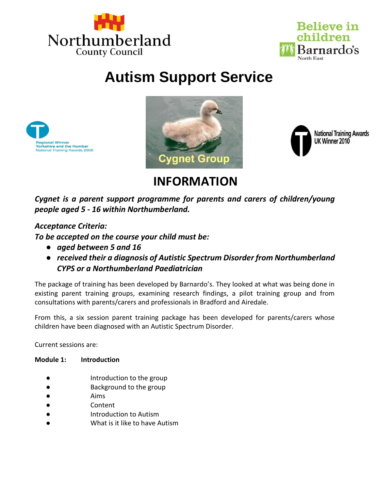



# **Autism Support Service**







## **INFORMATION**

*Cygnet is a parent support programme for parents and carers of children/young people aged 5 - 16 within Northumberland.*

### *Acceptance Criteria:*

*To be accepted on the course your child must be:*

- *aged between 5 and 16*
- *received their a diagnosis of Autistic Spectrum Disorder from Northumberland CYPS or a Northumberland Paediatrician*

The package of training has been developed by Barnardo's. They looked at what was being done in existing parent training groups, examining research findings, a pilot training group and from consultations with parents/carers and professionals in Bradford and Airedale.

From this, a six session parent training package has been developed for parents/carers whose children have been diagnosed with an Autistic Spectrum Disorder.

Current sessions are:

#### **Module 1: Introduction**

- Introduction to the group
- Background to the group
- **Aims**
- **Content**
- Introduction to Autism
- What is it like to have Autism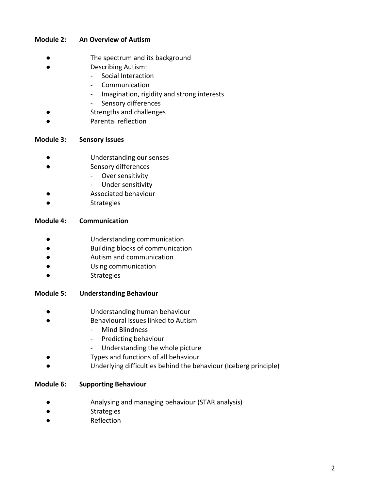#### **Module 2: An Overview of Autism**

- The spectrum and its background
- Describing Autism:
	- Social Interaction
		- **Communication**
		- Imagination, rigidity and strong interests
		- Sensory differences
- Strengths and challenges
- Parental reflection

#### **Module 3: Sensory Issues**

- Understanding our senses
- Sensory differences
	- Over sensitivity
	- Under sensitivity
- Associated behaviour
- **Strategies**

#### **Module 4: Communication**

- Understanding communication
- Building blocks of communication
- Autism and communication
- Using communication
- **Strategies**

#### **Module 5: Understanding Behaviour**

- Understanding human behaviour
- Behavioural issues linked to Autism
	- Mind Blindness
	- Predicting behaviour
	- Understanding the whole picture
- Types and functions of all behaviour
- Underlying difficulties behind the behaviour (Iceberg principle)

#### **Module 6: Supporting Behaviour**

- Analysing and managing behaviour (STAR analysis)
- **Strategies**
- **Reflection**